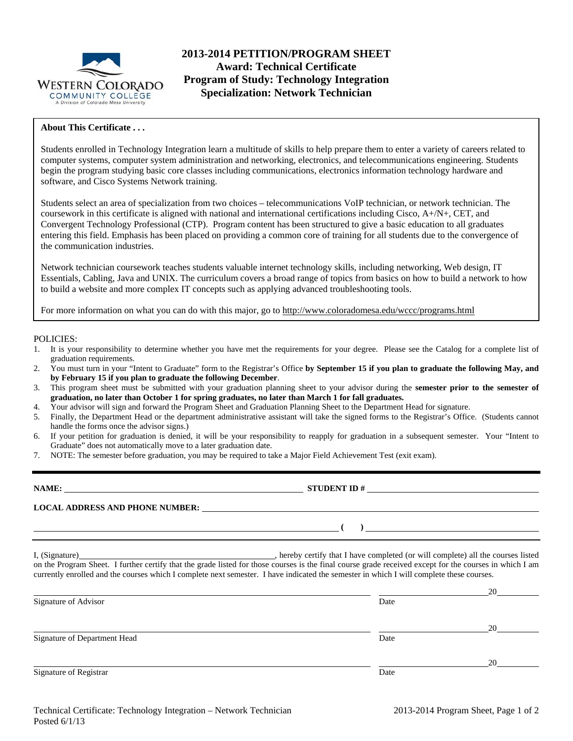

## **2013-2014 PETITION/PROGRAM SHEET Award: Technical Certificate Program of Study: Technology Integration Specialization: Network Technician**

### **About This Certificate . . .**

Students enrolled in Technology Integration learn a multitude of skills to help prepare them to enter a variety of careers related to computer systems, computer system administration and networking, electronics, and telecommunications engineering. Students begin the program studying basic core classes including communications, electronics information technology hardware and software, and Cisco Systems Network training.

Students select an area of specialization from two choices – telecommunications VoIP technician, or network technician. The coursework in this certificate is aligned with national and international certifications including Cisco, A+/N+, CET, and Convergent Technology Professional (CTP). Program content has been structured to give a basic education to all graduates entering this field. Emphasis has been placed on providing a common core of training for all students due to the convergence of the communication industries.

Network technician coursework teaches students valuable internet technology skills, including networking, Web design, IT Essentials, Cabling, Java and UNIX. The curriculum covers a broad range of topics from basics on how to build a network to how to build a website and more complex IT concepts such as applying advanced troubleshooting tools.

For more information on what you can do with this major, go to http://www.coloradomesa.edu/wccc/programs.html

#### POLICIES:

- 1. It is your responsibility to determine whether you have met the requirements for your degree. Please see the Catalog for a complete list of graduation requirements.
- 2. You must turn in your "Intent to Graduate" form to the Registrar's Office **by September 15 if you plan to graduate the following May, and by February 15 if you plan to graduate the following December**.
- 3. This program sheet must be submitted with your graduation planning sheet to your advisor during the **semester prior to the semester of graduation, no later than October 1 for spring graduates, no later than March 1 for fall graduates.**
- 4. Your advisor will sign and forward the Program Sheet and Graduation Planning Sheet to the Department Head for signature.
- 5. Finally, the Department Head or the department administrative assistant will take the signed forms to the Registrar's Office. (Students cannot handle the forms once the advisor signs.)
- 6. If your petition for graduation is denied, it will be your responsibility to reapply for graduation in a subsequent semester. Your "Intent to Graduate" does not automatically move to a later graduation date.
- 7. NOTE: The semester before graduation, you may be required to take a Major Field Achievement Test (exit exam).

| NAME:                                  | <b>STUDENT ID#</b> |
|----------------------------------------|--------------------|
| <b>LOCAL ADDRESS AND PHONE NUMBER:</b> |                    |
|                                        |                    |

I, (Signature) , hereby certify that I have completed (or will complete) all the courses listed on the Program Sheet. I further certify that the grade listed for those courses is the final course grade received except for the courses in which I am currently enrolled and the courses which I complete next semester. I have indicated the semester in which I will complete these courses.

|      | 20 |
|------|----|
| Date |    |
|      |    |
|      | 20 |
| Date |    |
|      |    |
|      | 20 |
| Date |    |
|      |    |